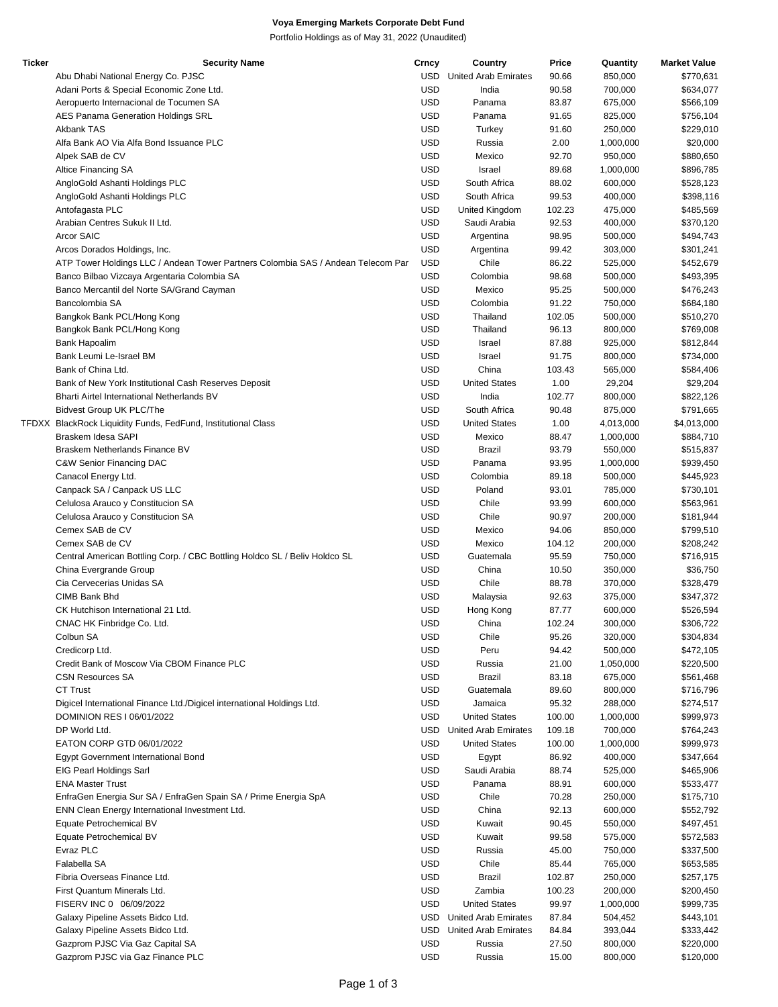## **Voya Emerging Markets Corporate Debt Fund**

Portfolio Holdings as of May 31, 2022 (Unaudited)

| <b>Ticker</b> | <b>Security Name</b>                                                             | Crncy      | Country                     | Price  | Quantity  | <b>Market Value</b> |
|---------------|----------------------------------------------------------------------------------|------------|-----------------------------|--------|-----------|---------------------|
|               | Abu Dhabi National Energy Co. PJSC                                               | USD        | <b>United Arab Emirates</b> | 90.66  | 850,000   | \$770,631           |
|               | Adani Ports & Special Economic Zone Ltd.                                         | <b>USD</b> | India                       | 90.58  | 700,000   | \$634,077           |
|               | Aeropuerto Internacional de Tocumen SA                                           | <b>USD</b> | Panama                      | 83.87  | 675,000   | \$566,109           |
|               | AES Panama Generation Holdings SRL                                               | <b>USD</b> | Panama                      | 91.65  | 825,000   | \$756,104           |
|               | <b>Akbank TAS</b>                                                                | <b>USD</b> | Turkey                      | 91.60  | 250,000   | \$229,010           |
|               | Alfa Bank AO Via Alfa Bond Issuance PLC                                          | <b>USD</b> | Russia                      | 2.00   | 1,000,000 | \$20,000            |
|               | Alpek SAB de CV                                                                  | <b>USD</b> | Mexico                      | 92.70  | 950,000   | \$880,650           |
|               | Altice Financing SA                                                              | <b>USD</b> | Israel                      | 89.68  | 1,000,000 | \$896,785           |
|               | AngloGold Ashanti Holdings PLC                                                   | <b>USD</b> | South Africa                | 88.02  | 600,000   | \$528,123           |
|               |                                                                                  |            |                             |        |           |                     |
|               | AngloGold Ashanti Holdings PLC                                                   | <b>USD</b> | South Africa                | 99.53  | 400,000   | \$398,116           |
|               | Antofagasta PLC                                                                  | <b>USD</b> | United Kingdom              | 102.23 | 475,000   | \$485,569           |
|               | Arabian Centres Sukuk II Ltd.                                                    | <b>USD</b> | Saudi Arabia                | 92.53  | 400,000   | \$370,120           |
|               | Arcor SAIC                                                                       | <b>USD</b> | Argentina                   | 98.95  | 500,000   | \$494,743           |
|               | Arcos Dorados Holdings, Inc.                                                     | <b>USD</b> | Argentina                   | 99.42  | 303,000   | \$301,241           |
|               | ATP Tower Holdings LLC / Andean Tower Partners Colombia SAS / Andean Telecom Par | <b>USD</b> | Chile                       | 86.22  | 525,000   | \$452,679           |
|               | Banco Bilbao Vizcaya Argentaria Colombia SA                                      | <b>USD</b> | Colombia                    | 98.68  | 500,000   | \$493,395           |
|               | Banco Mercantil del Norte SA/Grand Cayman                                        | <b>USD</b> | Mexico                      | 95.25  | 500,000   | \$476,243           |
|               | Bancolombia SA                                                                   | <b>USD</b> | Colombia                    | 91.22  | 750,000   | \$684,180           |
|               | Bangkok Bank PCL/Hong Kong                                                       | <b>USD</b> | Thailand                    | 102.05 | 500,000   | \$510,270           |
|               | Bangkok Bank PCL/Hong Kong                                                       | <b>USD</b> | Thailand                    | 96.13  | 800,000   | \$769,008           |
|               | Bank Hapoalim                                                                    | <b>USD</b> | Israel                      | 87.88  | 925,000   | \$812,844           |
|               |                                                                                  | <b>USD</b> |                             |        |           |                     |
|               | Bank Leumi Le-Israel BM                                                          |            | Israel                      | 91.75  | 800,000   | \$734,000           |
|               | Bank of China Ltd.                                                               | <b>USD</b> | China                       | 103.43 | 565,000   | \$584,406           |
|               | Bank of New York Institutional Cash Reserves Deposit                             | <b>USD</b> | <b>United States</b>        | 1.00   | 29,204    | \$29,204            |
|               | Bharti Airtel International Netherlands BV                                       | <b>USD</b> | India                       | 102.77 | 800,000   | \$822,126           |
|               | <b>Bidvest Group UK PLC/The</b>                                                  | <b>USD</b> | South Africa                | 90.48  | 875,000   | \$791,665           |
|               | TFDXX BlackRock Liquidity Funds, FedFund, Institutional Class                    | <b>USD</b> | <b>United States</b>        | 1.00   | 4,013,000 | \$4,013,000         |
|               | Braskem Idesa SAPI                                                               | <b>USD</b> | Mexico                      | 88.47  | 1,000,000 | \$884,710           |
|               | Braskem Netherlands Finance BV                                                   | <b>USD</b> | Brazil                      | 93.79  | 550,000   | \$515,837           |
|               | C&W Senior Financing DAC                                                         | <b>USD</b> | Panama                      | 93.95  | 1,000,000 | \$939,450           |
|               | Canacol Energy Ltd.                                                              | <b>USD</b> | Colombia                    | 89.18  | 500,000   | \$445,923           |
|               | Canpack SA / Canpack US LLC                                                      | <b>USD</b> | Poland                      | 93.01  | 785,000   | \$730,101           |
|               | Celulosa Arauco y Constitucion SA                                                | <b>USD</b> | Chile                       | 93.99  | 600,000   | \$563,961           |
|               | Celulosa Arauco y Constitucion SA                                                | <b>USD</b> | Chile                       | 90.97  | 200,000   | \$181,944           |
|               | Cemex SAB de CV                                                                  | <b>USD</b> | Mexico                      |        |           |                     |
|               |                                                                                  |            |                             | 94.06  | 850,000   | \$799,510           |
|               | Cemex SAB de CV                                                                  | <b>USD</b> | Mexico                      | 104.12 | 200,000   | \$208,242           |
|               | Central American Bottling Corp. / CBC Bottling Holdco SL / Beliv Holdco SL       | <b>USD</b> | Guatemala                   | 95.59  | 750,000   | \$716,915           |
|               | China Evergrande Group                                                           | <b>USD</b> | China                       | 10.50  | 350,000   | \$36,750            |
|               | Cia Cervecerias Unidas SA                                                        | <b>USD</b> | Chile                       | 88.78  | 370,000   | \$328,479           |
|               | CIMB Bank Bhd                                                                    | <b>USD</b> | Malaysia                    | 92.63  | 375,000   | \$347,372           |
|               | CK Hutchison International 21 Ltd.                                               | <b>USD</b> | Hong Kong                   | 87.77  | 600,000   | \$526,594           |
|               | CNAC HK Finbridge Co. Ltd.                                                       | <b>USD</b> | China                       | 102.24 | 300.000   | \$306,722           |
|               | Colbun SA                                                                        | <b>USD</b> | Chile                       | 95.26  | 320,000   | \$304,834           |
|               | Credicorp Ltd.                                                                   | <b>USD</b> | Peru                        | 94.42  | 500,000   | \$472,105           |
|               | Credit Bank of Moscow Via CBOM Finance PLC                                       | <b>USD</b> | Russia                      | 21.00  | 1,050,000 | \$220,500           |
|               | <b>CSN Resources SA</b>                                                          | <b>USD</b> | <b>Brazil</b>               | 83.18  | 675,000   | \$561,468           |
|               | <b>CT Trust</b>                                                                  | <b>USD</b> | Guatemala                   | 89.60  | 800,000   | \$716,796           |
|               | Digicel International Finance Ltd./Digicel international Holdings Ltd.           | <b>USD</b> | Jamaica                     | 95.32  | 288,000   | \$274,517           |
|               |                                                                                  |            |                             |        |           |                     |
|               | DOMINION RES I 06/01/2022                                                        | <b>USD</b> | <b>United States</b>        | 100.00 | 1,000,000 | \$999,973           |
|               | DP World Ltd.                                                                    | USD        | United Arab Emirates        | 109.18 | 700,000   | \$764,243           |
|               | EATON CORP GTD 06/01/2022                                                        | <b>USD</b> | <b>United States</b>        | 100.00 | 1,000,000 | \$999,973           |
|               | <b>Egypt Government International Bond</b>                                       | <b>USD</b> | Egypt                       | 86.92  | 400,000   | \$347,664           |
|               | EIG Pearl Holdings Sarl                                                          | <b>USD</b> | Saudi Arabia                | 88.74  | 525,000   | \$465,906           |
|               | <b>ENA Master Trust</b>                                                          | <b>USD</b> | Panama                      | 88.91  | 600,000   | \$533,477           |
|               | EnfraGen Energia Sur SA / EnfraGen Spain SA / Prime Energia SpA                  | <b>USD</b> | Chile                       | 70.28  | 250,000   | \$175,710           |
|               | ENN Clean Energy International Investment Ltd.                                   | <b>USD</b> | China                       | 92.13  | 600,000   | \$552,792           |
|               | Equate Petrochemical BV                                                          | <b>USD</b> | Kuwait                      | 90.45  | 550,000   | \$497,451           |
|               | Equate Petrochemical BV                                                          | <b>USD</b> | Kuwait                      | 99.58  | 575,000   | \$572,583           |
|               | Evraz PLC                                                                        | <b>USD</b> | Russia                      | 45.00  | 750,000   | \$337,500           |
|               | Falabella SA                                                                     | <b>USD</b> | Chile                       | 85.44  | 765,000   | \$653,585           |
|               |                                                                                  |            |                             |        |           |                     |
|               | Fibria Overseas Finance Ltd.                                                     | <b>USD</b> | Brazil                      | 102.87 | 250,000   | \$257,175           |
|               | First Quantum Minerals Ltd.                                                      | <b>USD</b> | Zambia                      | 100.23 | 200,000   | \$200,450           |
|               | FISERV INC 0 06/09/2022                                                          | <b>USD</b> | <b>United States</b>        | 99.97  | 1,000,000 | \$999,735           |
|               | Galaxy Pipeline Assets Bidco Ltd.                                                | USD        | United Arab Emirates        | 87.84  | 504,452   | \$443,101           |
|               | Galaxy Pipeline Assets Bidco Ltd.                                                | USD        | United Arab Emirates        | 84.84  | 393,044   | \$333,442           |
|               | Gazprom PJSC Via Gaz Capital SA                                                  | <b>USD</b> | Russia                      | 27.50  | 800,000   | \$220,000           |
|               | Gazprom PJSC via Gaz Finance PLC                                                 | <b>USD</b> | Russia                      | 15.00  | 800,000   | \$120,000           |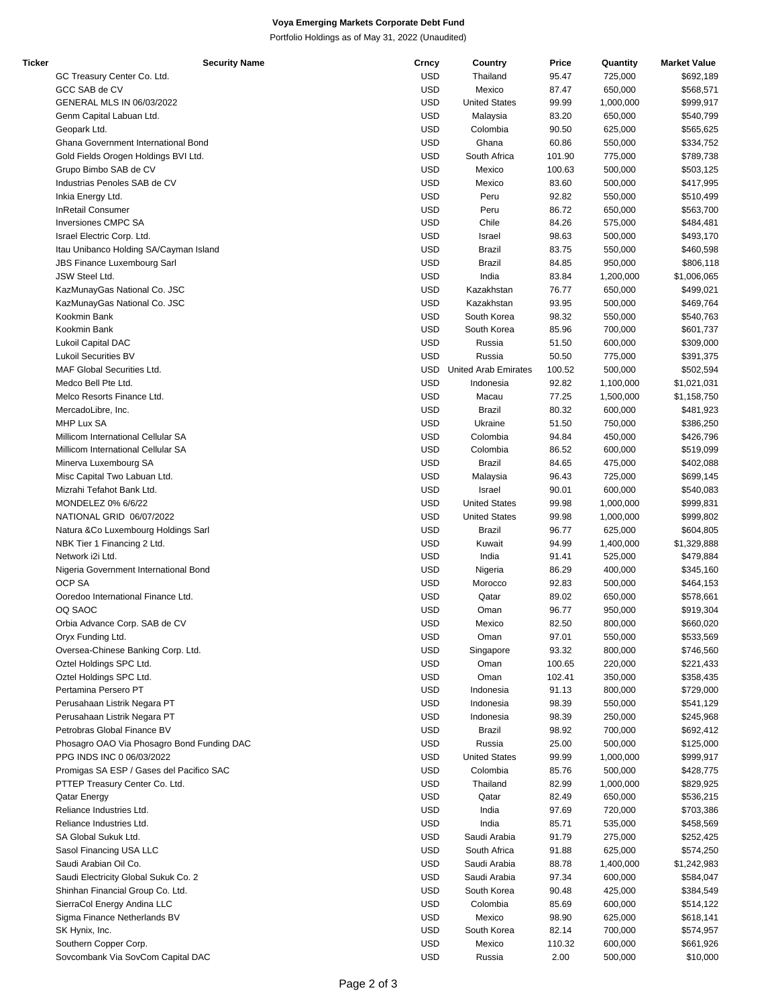## **Voya Emerging Markets Corporate Debt Fund**

Portfolio Holdings as of May 31, 2022 (Unaudited)

| Ticker | <b>Security Name</b>                       | Crncy      | Country                     | Price  | Quantity  | <b>Market Value</b> |
|--------|--------------------------------------------|------------|-----------------------------|--------|-----------|---------------------|
|        | GC Treasury Center Co. Ltd.                | <b>USD</b> | Thailand                    | 95.47  | 725,000   | \$692,189           |
|        | GCC SAB de CV                              | <b>USD</b> | Mexico                      | 87.47  | 650,000   | \$568,571           |
|        | GENERAL MLS IN 06/03/2022                  | <b>USD</b> | <b>United States</b>        | 99.99  | 1,000,000 | \$999,917           |
|        | Genm Capital Labuan Ltd.                   | <b>USD</b> | Malaysia                    | 83.20  | 650,000   | \$540,799           |
|        |                                            |            |                             |        |           |                     |
|        | Geopark Ltd.                               | <b>USD</b> | Colombia                    | 90.50  | 625,000   | \$565,625           |
|        | Ghana Government International Bond        | <b>USD</b> | Ghana                       | 60.86  | 550,000   | \$334,752           |
|        | Gold Fields Orogen Holdings BVI Ltd.       | <b>USD</b> | South Africa                | 101.90 | 775,000   | \$789,738           |
|        | Grupo Bimbo SAB de CV                      | <b>USD</b> | Mexico                      | 100.63 | 500,000   | \$503,125           |
|        | Industrias Penoles SAB de CV               | <b>USD</b> | Mexico                      | 83.60  | 500,000   | \$417,995           |
|        | Inkia Energy Ltd.                          | <b>USD</b> | Peru                        | 92.82  | 550,000   | \$510,499           |
|        | <b>InRetail Consumer</b>                   | <b>USD</b> |                             |        |           | \$563,700           |
|        |                                            |            | Peru                        | 86.72  | 650,000   |                     |
|        | <b>Inversiones CMPC SA</b>                 | <b>USD</b> | Chile                       | 84.26  | 575,000   | \$484,481           |
|        | Israel Electric Corp. Ltd.                 | <b>USD</b> | Israel                      | 98.63  | 500,000   | \$493,170           |
|        | Itau Unibanco Holding SA/Cayman Island     | <b>USD</b> | Brazil                      | 83.75  | 550,000   | \$460,598           |
|        | <b>JBS Finance Luxembourg Sarl</b>         | <b>USD</b> | <b>Brazil</b>               | 84.85  | 950,000   | \$806,118           |
|        | JSW Steel Ltd.                             | <b>USD</b> | India                       | 83.84  | 1,200,000 | \$1,006,065         |
|        | KazMunayGas National Co. JSC               | <b>USD</b> | Kazakhstan                  | 76.77  | 650,000   | \$499,021           |
|        |                                            |            |                             |        |           |                     |
|        | KazMunayGas National Co. JSC               | <b>USD</b> | Kazakhstan                  | 93.95  | 500,000   | \$469,764           |
|        | Kookmin Bank                               | <b>USD</b> | South Korea                 | 98.32  | 550,000   | \$540,763           |
|        | Kookmin Bank                               | <b>USD</b> | South Korea                 | 85.96  | 700,000   | \$601,737           |
|        | Lukoil Capital DAC                         | <b>USD</b> | Russia                      | 51.50  | 600,000   | \$309,000           |
|        | <b>Lukoil Securities BV</b>                | <b>USD</b> | Russia                      | 50.50  | 775,000   | \$391,375           |
|        | <b>MAF Global Securities Ltd.</b>          | <b>USD</b> | <b>United Arab Emirates</b> | 100.52 | 500,000   | \$502,594           |
|        |                                            |            |                             |        |           |                     |
|        | Medco Bell Pte Ltd.                        | <b>USD</b> | Indonesia                   | 92.82  | 1,100,000 | \$1,021,031         |
|        | Melco Resorts Finance Ltd.                 | <b>USD</b> | Macau                       | 77.25  | 1,500,000 | \$1,158,750         |
|        | MercadoLibre, Inc.                         | <b>USD</b> | Brazil                      | 80.32  | 600,000   | \$481,923           |
|        | MHP Lux SA                                 | <b>USD</b> | Ukraine                     | 51.50  | 750,000   | \$386,250           |
|        | Millicom International Cellular SA         | <b>USD</b> | Colombia                    | 94.84  | 450,000   | \$426,796           |
|        | Millicom International Cellular SA         | <b>USD</b> | Colombia                    | 86.52  | 600,000   | \$519,099           |
|        |                                            | <b>USD</b> |                             |        |           |                     |
|        | Minerva Luxembourg SA                      |            | Brazil                      | 84.65  | 475,000   | \$402,088           |
|        | Misc Capital Two Labuan Ltd.               | <b>USD</b> | Malaysia                    | 96.43  | 725,000   | \$699,145           |
|        | Mizrahi Tefahot Bank Ltd.                  | <b>USD</b> | Israel                      | 90.01  | 600,000   | \$540,083           |
|        | MONDELEZ 0% 6/6/22                         | <b>USD</b> | <b>United States</b>        | 99.98  | 1,000,000 | \$999,831           |
|        | NATIONAL GRID 06/07/2022                   | <b>USD</b> | <b>United States</b>        | 99.98  | 1,000,000 | \$999,802           |
|        | Natura &Co Luxembourg Holdings Sarl        | <b>USD</b> | Brazil                      | 96.77  | 625,000   | \$604,805           |
|        | NBK Tier 1 Financing 2 Ltd.                | <b>USD</b> | Kuwait                      | 94.99  | 1,400,000 | \$1,329,888         |
|        |                                            |            |                             |        |           |                     |
|        | Network i2i Ltd.                           | <b>USD</b> | India                       | 91.41  | 525,000   | \$479,884           |
|        | Nigeria Government International Bond      | <b>USD</b> | Nigeria                     | 86.29  | 400,000   | \$345,160           |
|        | <b>OCP SA</b>                              | <b>USD</b> | Morocco                     | 92.83  | 500,000   | \$464,153           |
|        | Ooredoo International Finance Ltd.         | <b>USD</b> | Qatar                       | 89.02  | 650,000   | \$578,661           |
|        | OQ SAOC                                    | <b>USD</b> | Oman                        | 96.77  | 950,000   | \$919,304           |
|        | Orbia Advance Corp. SAB de CV              | <b>USD</b> | Mexico                      | 82.50  | 800,000   | \$660,020           |
|        | Oryx Funding Ltd.                          | <b>USD</b> |                             |        |           |                     |
|        |                                            |            | Oman                        | 97.01  | 550,000   | \$533,569           |
|        | Oversea-Chinese Banking Corp. Ltd.         | <b>USD</b> | Singapore                   | 93.32  | 800,000   | \$746,560           |
|        | Oztel Holdings SPC Ltd.                    | <b>USD</b> | Oman                        | 100.65 | 220,000   | \$221,433           |
|        | Oztel Holdings SPC Ltd.                    | <b>USD</b> | Oman                        | 102.41 | 350,000   | \$358,435           |
|        | Pertamina Persero PT                       | <b>USD</b> | Indonesia                   | 91.13  | 800,000   | \$729,000           |
|        | Perusahaan Listrik Negara PT               | <b>USD</b> | Indonesia                   | 98.39  | 550,000   | \$541,129           |
|        | Perusahaan Listrik Negara PT               | <b>USD</b> | Indonesia                   |        |           |                     |
|        |                                            |            |                             | 98.39  | 250,000   | \$245,968           |
|        | Petrobras Global Finance BV                | <b>USD</b> | Brazil                      | 98.92  | 700,000   | \$692,412           |
|        | Phosagro OAO Via Phosagro Bond Funding DAC | <b>USD</b> | Russia                      | 25.00  | 500,000   | \$125,000           |
|        | PPG INDS INC 0 06/03/2022                  | <b>USD</b> | <b>United States</b>        | 99.99  | 1,000,000 | \$999,917           |
|        | Promigas SA ESP / Gases del Pacifico SAC   | <b>USD</b> | Colombia                    | 85.76  | 500,000   | \$428,775           |
|        | PTTEP Treasury Center Co. Ltd.             | <b>USD</b> | Thailand                    | 82.99  | 1,000,000 | \$829,925           |
|        |                                            | <b>USD</b> |                             |        |           |                     |
|        | <b>Qatar Energy</b>                        |            | Qatar                       | 82.49  | 650,000   | \$536,215           |
|        | Reliance Industries Ltd.                   | <b>USD</b> | India                       | 97.69  | 720,000   | \$703,386           |
|        | Reliance Industries Ltd.                   | <b>USD</b> | India                       | 85.71  | 535,000   | \$458,569           |
|        | SA Global Sukuk Ltd.                       | <b>USD</b> | Saudi Arabia                | 91.79  | 275,000   | \$252,425           |
|        | Sasol Financing USA LLC                    | <b>USD</b> | South Africa                | 91.88  | 625,000   | \$574,250           |
|        | Saudi Arabian Oil Co.                      | <b>USD</b> | Saudi Arabia                | 88.78  | 1,400,000 | \$1,242,983         |
|        |                                            |            |                             |        |           |                     |
|        | Saudi Electricity Global Sukuk Co. 2       | <b>USD</b> | Saudi Arabia                | 97.34  | 600,000   | \$584,047           |
|        | Shinhan Financial Group Co. Ltd.           | <b>USD</b> | South Korea                 | 90.48  | 425,000   | \$384,549           |
|        | SierraCol Energy Andina LLC                | <b>USD</b> | Colombia                    | 85.69  | 600,000   | \$514,122           |
|        | Sigma Finance Netherlands BV               | <b>USD</b> | Mexico                      | 98.90  | 625,000   | \$618,141           |
|        | SK Hynix, Inc.                             | <b>USD</b> | South Korea                 | 82.14  | 700,000   | \$574,957           |
|        | Southern Copper Corp.                      | <b>USD</b> | Mexico                      | 110.32 | 600,000   | \$661,926           |
|        |                                            |            |                             |        |           |                     |
|        | Sovcombank Via SovCom Capital DAC          | <b>USD</b> | Russia                      | 2.00   | 500,000   | \$10,000            |